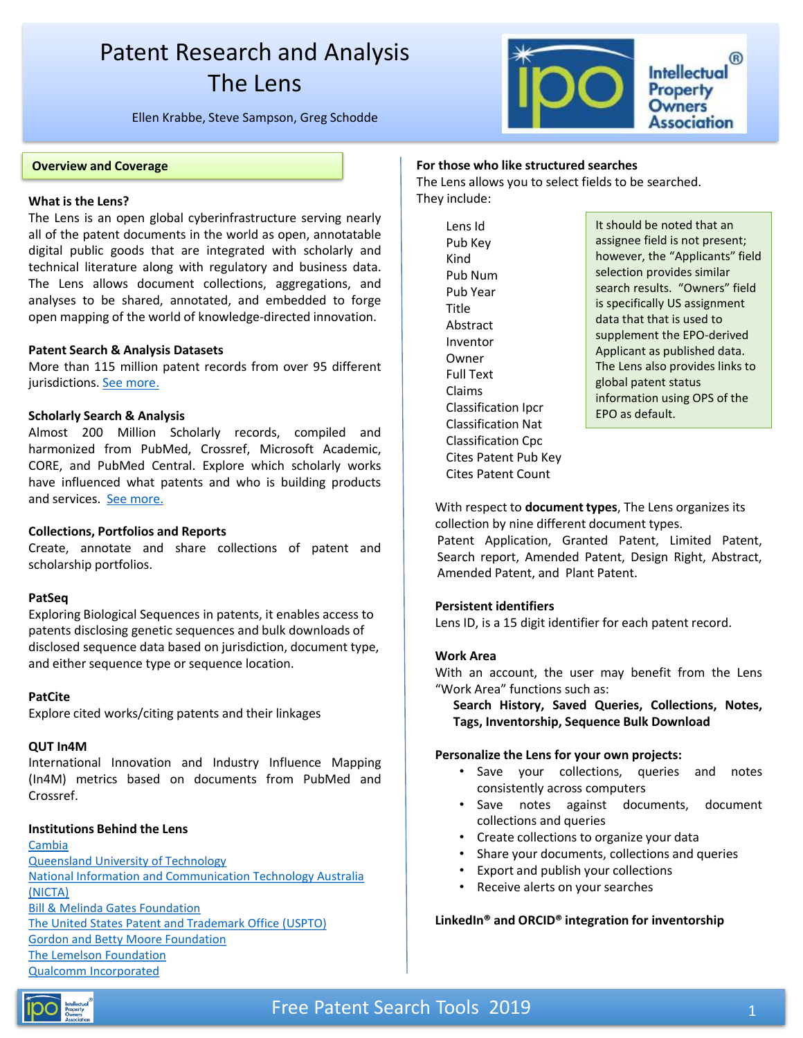## Patent Research and Analysis The Lens

Ellen Krabbe, Steve Sampson, Greg Schodde



### **Overview and Coverage**

### **What is the Lens? include: is the Lens? include: is the lens? include: i**

The Lens is an open global cyberinfrastructure serving nearly all of the patent documents in the world as open, annotatable digital public goods that are integrated with scholarly and technical literature along with regulatory and business data. The Lens allows document collections, aggregations, and analyses to be shared, annotated, and embedded to forge open mapping of the world of knowledge-directed innovation.

### **Patent Search & Analysis Datasets**

More than 115 million patent records from over 95 different jurisdictions. See [more.](https://about.lens.org/)

### **Scholarly Search & Analysis**

Almost 200 Million Scholarly records, compiled and harmonized from PubMed, Crossref, Microsoft Academic, CORE, and PubMed Central. Explore which scholarly works have influenced what patents and who is building products and services. See [more.](https://about.lens.org/)

### **Collections, Portfolios and Reports**

Create, annotate and share collections of patent and scholarship portfolios.

### **PatSeq**

Exploring Biological Sequences in patents, it enables access to patents disclosing genetic sequences and bulk downloads of disclosed sequence data based on jurisdiction, document type, and either sequence type or sequence location.

### **PatCite**

Explore cited works/citing patents and their linkages

### **QUT In4M**

International Innovation and Industry Influence Mapping (In4M) metrics based on documents from PubMed and Crossref.

### **Institutions Behind the Lens**

[Cambia](http://www.cambia.org/) [Queensland University of Technology](http://www.qut.edu.au/) [National Information and Communication Technology Australia](http://www.nicta.com.au/)  (NICTA) [Bill & Melinda Gates Foundation](http://www.gatesfoundation.org/) [The United States Patent and Trademark Office \(USPTO\)](http://www.uspto.gov/) [Gordon and Betty Moore Foundation](http://www.moore.org/) [The Lemelson Foundation](http://www.lemelson.org/) [Qualcomm Incorporated](http://www.qualcomm.com/)

### **For those who like structured searches**

The Lens allows you to select fields to be searched.

Lens Id Pub Key Kind Pub Num Pub Year **Title** Abstract Inventor Owner Full Text Claims Classification Ipcr Classification Nat Classification Cpc Cites Patent Pub Key Cites Patent Count

It should be noted that an assignee field is not present; however, the "Applicants" field selection provides similar search results. "Owners" field is specifically US assignment data that that is used to supplement the EPO-derived Applicant as published data. The Lens also provides links to global patent status information using OPS of the EPO as default.

With respect to **document types**, The Lens organizes its collection by nine different document types.

Patent Application, Granted Patent, Limited Patent, Search report, Amended Patent, Design Right, Abstract, Amended Patent, and Plant Patent.

### **Persistent identifiers**

Lens ID, is a 15 digit identifier for each patent record.

### **Work Area**

With an account, the user may benefit from the Lens "Work Area" functions such as:

**Search History, Saved Queries, Collections, Notes, Tags, Inventorship, Sequence Bulk Download**

### **Personalize the Lens for your own projects:**

- Save your collections, queries and notes consistently across computers
- Save notes against documents, document collections and queries
- Create collections to organize your data
- Share your documents, collections and queries
- Export and publish your collections
- Receive alerts on your searches

### **LinkedIn® and ORCID® integration for inventorship**

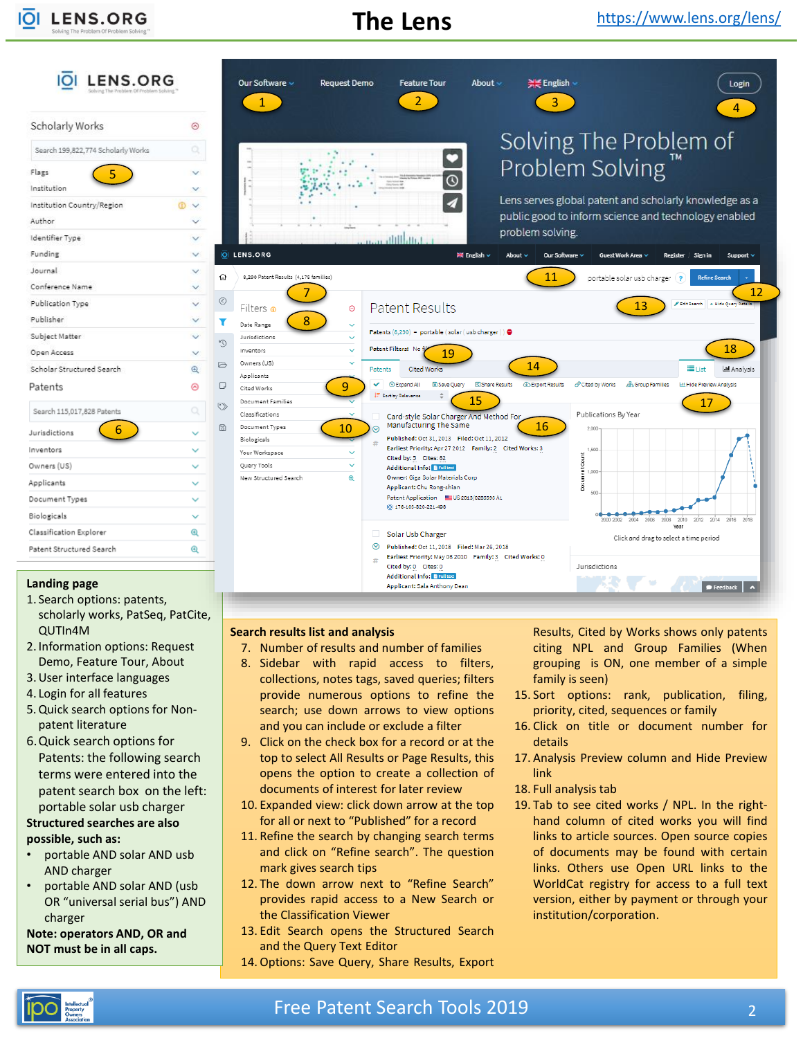IOI **LENS.ORG** 

 $-1$ 

# **The Lens**

| Scholarly Works                    | ⊚                    |
|------------------------------------|----------------------|
| Search 199,822,774 Scholarly Works |                      |
| Flags<br>5                         |                      |
| Institution                        |                      |
| Institution Country/Region         | $\circ$              |
| Author                             |                      |
| Identifier Type                    |                      |
| Funding                            | v.                   |
| Journal                            | v.                   |
| Conference Name                    |                      |
| Publication Type                   |                      |
| Publisher                          |                      |
| Subject Matter                     | $\ddot{\phantom{1}}$ |
| Open Access                        | v.                   |
| Scholar Structured Search          | $^{\circ}$           |
| Patents                            | ⊚                    |
| Search 115,017,828 Patents         | Q                    |
| 6<br>Jurisdictions                 |                      |
| Inventors                          |                      |
| Owners (US)                        |                      |
| Applicants                         |                      |
| Document Types                     |                      |
| Biologicals                        |                      |
| Classification Explorer            | $^\circledR$         |
| Patent Structured Search           | $^\circledR$         |



### **Landing page**

- 1. Search options: patents, scholarly works, PatSeq, PatCite, QUTIn4M
- 2. Information options: Request Demo, Feature Tour, About
- 3.User interface languages
- 4. Login for all features
- 5.Quick search options for Nonpatent literature
- 6.Quick search options for Patents: the following search terms were entered into the patent search box on the left: portable solar usb charger

## **Structured searches are also**

### **possible, such as:**

- portable AND solar AND usb AND charger
- portable AND solar AND (usb OR "universal serial bus") AND charger

**Note: operators AND, OR and NOT must be in all caps.**

### **Search results list and analysis**

- 7. Number of results and number of families
- 8. Sidebar with rapid access to filters, collections, notes tags, saved queries; filters provide numerous options to refine the search; use down arrows to view options and you can include or exclude a filter
- 9. Click on the check box for a record or at the top to select All Results or Page Results, this opens the option to create a collection of documents of interest for later review
- 10. Expanded view: click down arrow at the top for all or next to "Published" for a record
- 11. Refine the search by changing search terms and click on "Refine search". The question mark gives search tips
- 12. The down arrow next to "Refine Search" provides rapid access to a New Search or the Classification Viewer
- 13. Edit Search opens the Structured Search and the Query Text Editor

### 14. Options: Save Query, Share Results, Export

Results, Cited by Works shows only patents citing NPL and Group Families (When grouping is ON, one member of a simple family is seen)

- 15. Sort options: rank, publication, filing, priority, cited, sequences or family
- 16. Click on title or document number for details
- 17. Analysis Preview column and Hide Preview link
- 18. Full analysis tab
- 19. Tab to see cited works / NPL. In the righthand column of cited works you will find links to article sources. Open source copies of documents may be found with certain links. Others use Open URL links to the WorldCat registry for access to a full text version, either by payment or through your institution/corporation.

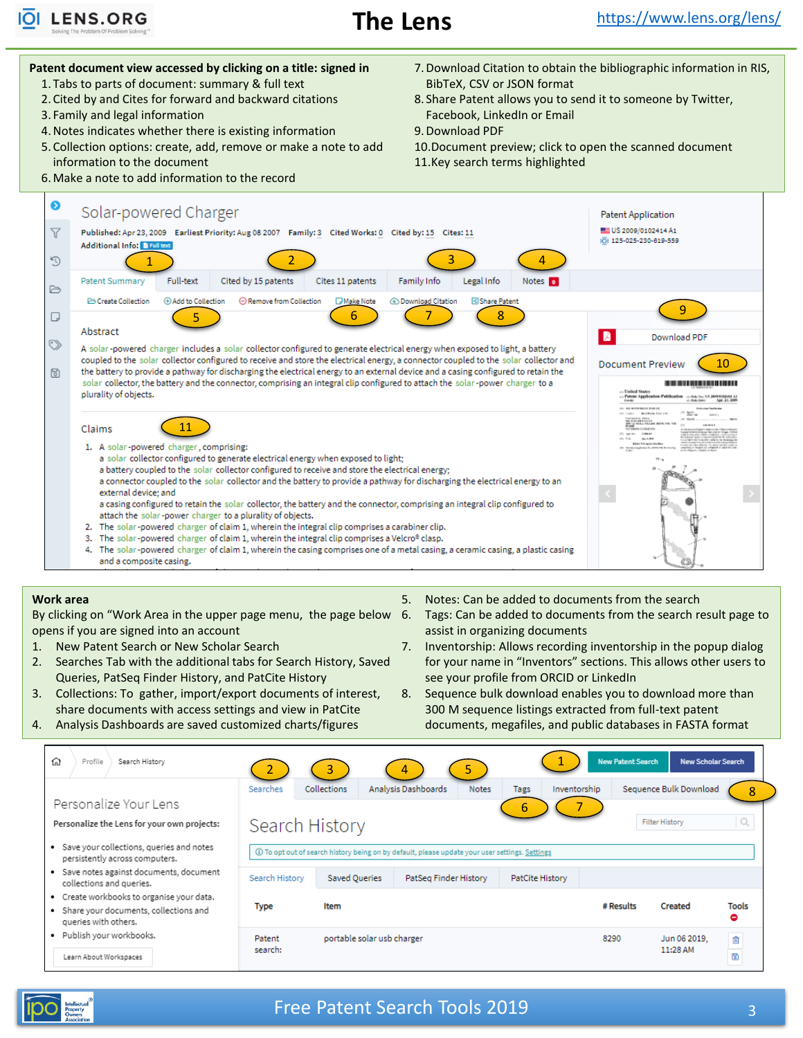

#### **Patent document view accessed by clicking on a title: signed in** 7.Download Citation to obtain the bibliographic information in RIS, 1. Tabs to parts of document: summary & full text BibTeX, CSV or JSON format 2. Cited by and Cites for forward and backward citations 8. Share Patent allows you to send it to someone by Twitter, 3. Family and legal information Facebook, LinkedIn or Email 4.Notes indicates whether there is existing information 9.Download PDF 5. Collection options: create, add, remove or make a note to add 10.Document preview; click to open the scanned document information to the document 11.Key search terms highlighted 6.Make a note to add information to the record ◉ Solar-powered Charger Patent Application  $\triangledown$ EE US 2009/0102414 A1 Published: Apr 23, 2009 Earliest Priority: Aug 08 2007 Family: 3 Cited Works: 0 Cited by: 15 Cites: 11 10| 125-025-230-619-559 **Additional Info:** FE  $\mathbb{C}^{\mathsf{d}}$  $\overline{2}$ 3  $\overline{A}$ 1 **Full-text** Legal Info Patent Summary Cited by 15 patents Cites 11 patents Family Info Notes **o** ₿ Create Collection (+) Add to Collection ○ Remove from Collection Share Patent **DMake Note B** Download Citation 9  $\begin{array}{c} \text{5} \end{array}$  (6) (7) (8) 7  $\Box$ Abstract B Download PDF  $\heartsuit$ A solar-powered charger includes a solar collector configured to generate electrical energy when exposed to light, a battery coupled to the solar collector configured to receive and store the electrical energy, a connector coupled to the solar collector and 10 **Document Preview**  $\boxdot$ the battery to provide a pathway for discharging the electrical energy to an external device and a casing configured to retain the solar collector, the battery and the connector, comprising an integral clip configured to attach the solar-power charger to a ---------------plurality of objects. Pels No: 15 2009/0102414 A1<br>Pels Date Apr. 23, 2009 11 Claims 1. A solar-powered charger, comprising: a solar collector configured to generate electrical energy when exposed to light; a battery coupled to the solar collector configured to receive and store the electrical energy; a connector coupled to the solar collector and the battery to provide a pathway for discharging the electrical energy to an external device; and a casing configured to retain the solar collector, the battery and the connector, comprising an integral clip configured to attach the solar-power charger to a plurality of objects. 2. The solar-powered charger of claim 1, wherein the integral clip comprises a carabiner clip.

- 3. The solar-powered charger of claim 1, wherein the integral clip comprises a Velcro® clasp.
- 4. The solar-powered charger of claim 1, wherein the casing comprises one of a metal casing, a ceramic casing, a plastic casing and a composite casing.

### **Work area**

By clicking on "Work Area in the upper page menu, the page below opens if you are signed into an account

- 1. New Patent Search or New Scholar Search
- 2. Searches Tab with the additional tabs for Search History, Saved Queries, PatSeq Finder History, and PatCite History
- 3. Collections: To gather, import/export documents of interest, share documents with access settings and view in PatCite

4. Analysis Dashboards are saved customized charts/figures

- 5. Notes: Can be added to documents from the search
- 6. Tags: Can be added to documents from the search result page to assist in organizing documents
- 7. Inventorship: Allows recording inventorship in the popup dialog for your name in "Inventors" sections. This allows other users to see your profile from ORCID or LinkedIn
- 8. Sequence bulk download enables you to download more than 300 M sequence listings extracted from full-text patent documents, megafiles, and public databases in FASTA format

| ⋒<br>Profile<br>Search History                                                                                                                          | <b>New Patent Search</b><br>4 |                            |                                                                                                                           |                 |              | New Scholar Search                              |                     |
|---------------------------------------------------------------------------------------------------------------------------------------------------------|-------------------------------|----------------------------|---------------------------------------------------------------------------------------------------------------------------|-----------------|--------------|-------------------------------------------------|---------------------|
| Personalize Your Lens<br>Personalize the Lens for your own projects:                                                                                    | Searches<br>Search History    | Collections                | Analysis Dashboards<br><b>Notes</b>                                                                                       | Tags            | Inventorship | Sequence Bulk Download<br><b>Filter History</b> | 8                   |
| • Save your collections, queries and notes<br>persistently across computers.<br>Save notes against documents, document<br>٠<br>collections and queries. | Search History                | <b>Saved Queries</b>       | 13) To opt out of search history being on by default, please update your user settings. Settings<br>PatSeq Finder History | PatCite History |              |                                                 |                     |
| Create workbooks to organise your data.<br>٠<br>• Share your documents, collections and<br>queries with others.                                         | Type                          | Item                       |                                                                                                                           |                 | # Results    | Created                                         | <b>Tools</b><br>0   |
| Publish your workbooks.<br>٠<br>Patent<br>search:<br>Learn About Workspaces                                                                             |                               | portable solar usb charger |                                                                                                                           |                 | 8290         | Jun 06 2019,<br>11:28 AM                        | 血<br>$\overline{B}$ |